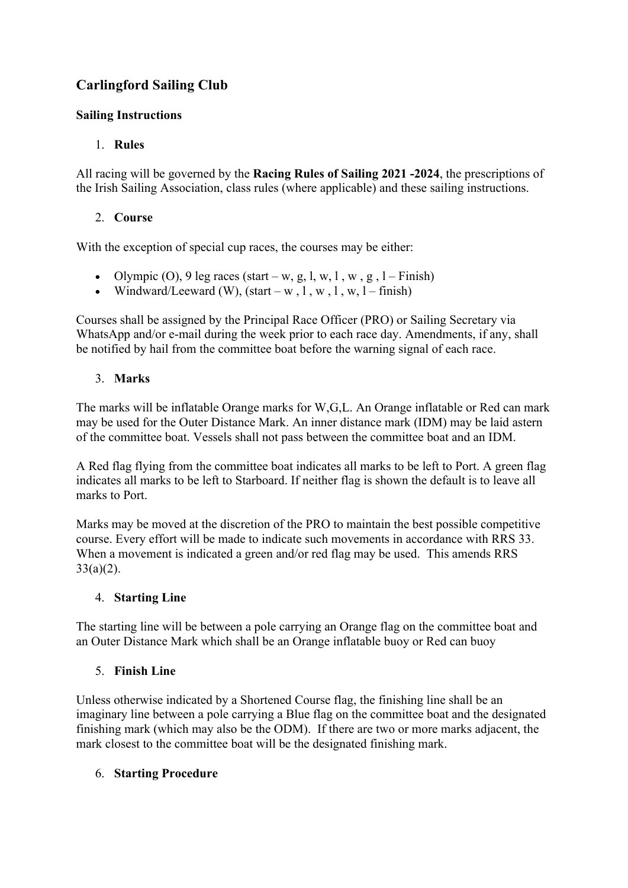# **Carlingford Sailing Club**

### **Sailing Instructions**

### 1. **Rules**

All racing will be governed by the **Racing Rules of Sailing 2021 -2024**, the prescriptions of the Irish Sailing Association, class rules (where applicable) and these sailing instructions.

### 2. **Course**

With the exception of special cup races, the courses may be either:

- Olympic (O), 9 leg races (start w, g, l, w, l, w, g, l Finish)
- Windward/Leeward (W),  $(start w, 1, w, 1, w, 1 finish)$

Courses shall be assigned by the Principal Race Officer (PRO) or Sailing Secretary via WhatsApp and/or e-mail during the week prior to each race day. Amendments, if any, shall be notified by hail from the committee boat before the warning signal of each race.

# 3. **Marks**

The marks will be inflatable Orange marks for W,G,L. An Orange inflatable or Red can mark may be used for the Outer Distance Mark. An inner distance mark (IDM) may be laid astern of the committee boat. Vessels shall not pass between the committee boat and an IDM.

A Red flag flying from the committee boat indicates all marks to be left to Port. A green flag indicates all marks to be left to Starboard. If neither flag is shown the default is to leave all marks to Port.

Marks may be moved at the discretion of the PRO to maintain the best possible competitive course. Every effort will be made to indicate such movements in accordance with RRS 33. When a movement is indicated a green and/or red flag may be used. This amends RRS  $33(a)(2)$ .

# 4. **Starting Line**

The starting line will be between a pole carrying an Orange flag on the committee boat and an Outer Distance Mark which shall be an Orange inflatable buoy or Red can buoy

# 5. **Finish Line**

Unless otherwise indicated by a Shortened Course flag, the finishing line shall be an imaginary line between a pole carrying a Blue flag on the committee boat and the designated finishing mark (which may also be the ODM). If there are two or more marks adjacent, the mark closest to the committee boat will be the designated finishing mark.

# 6. **Starting Procedure**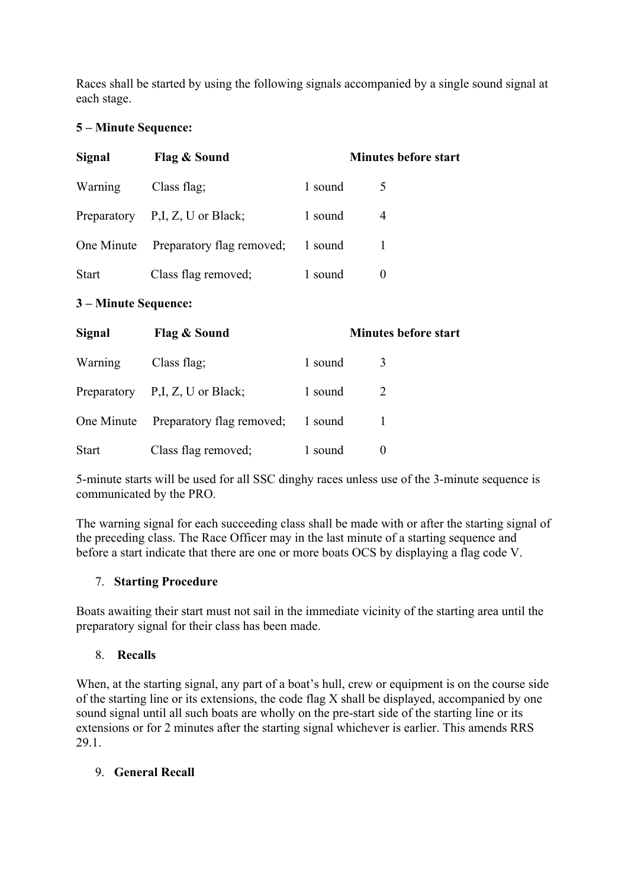Races shall be started by using the following signals accompanied by a single sound signal at each stage.

#### **5 – Minute Sequence:**

| Signal               | Flag & Sound                         |         | <b>Minutes before start</b> |  |  |
|----------------------|--------------------------------------|---------|-----------------------------|--|--|
| Warning              | Class flag;                          | 1 sound | 5                           |  |  |
|                      | Preparatory P,I, Z, U or Black;      | 1 sound | 4                           |  |  |
|                      | One Minute Preparatory flag removed; | 1 sound | 1                           |  |  |
| Start                | Class flag removed;                  | 1 sound | $\theta$                    |  |  |
| 3 – Minute Sequence: |                                      |         |                             |  |  |
| Signal               | Flag & Sound                         |         | <b>Minutes before start</b> |  |  |
| Warning              | Class flag;                          | 1 sound | 3                           |  |  |
|                      | Preparatory P,I, Z, U or Black;      | 1 sound | 2                           |  |  |
| One Minute           | Preparatory flag removed;            | 1 sound | 1                           |  |  |
| <b>Start</b>         | Class flag removed;                  | 1 sound | $\boldsymbol{0}$            |  |  |

5-minute starts will be used for all SSC dinghy races unless use of the 3-minute sequence is communicated by the PRO.

The warning signal for each succeeding class shall be made with or after the starting signal of the preceding class. The Race Officer may in the last minute of a starting sequence and before a start indicate that there are one or more boats OCS by displaying a flag code V.

# 7. **Starting Procedure**

Boats awaiting their start must not sail in the immediate vicinity of the starting area until the preparatory signal for their class has been made.

#### 8. **Recalls**

When, at the starting signal, any part of a boat's hull, crew or equipment is on the course side of the starting line or its extensions, the code flag X shall be displayed, accompanied by one sound signal until all such boats are wholly on the pre-start side of the starting line or its extensions or for 2 minutes after the starting signal whichever is earlier. This amends RRS 29.1.

#### 9. **General Recall**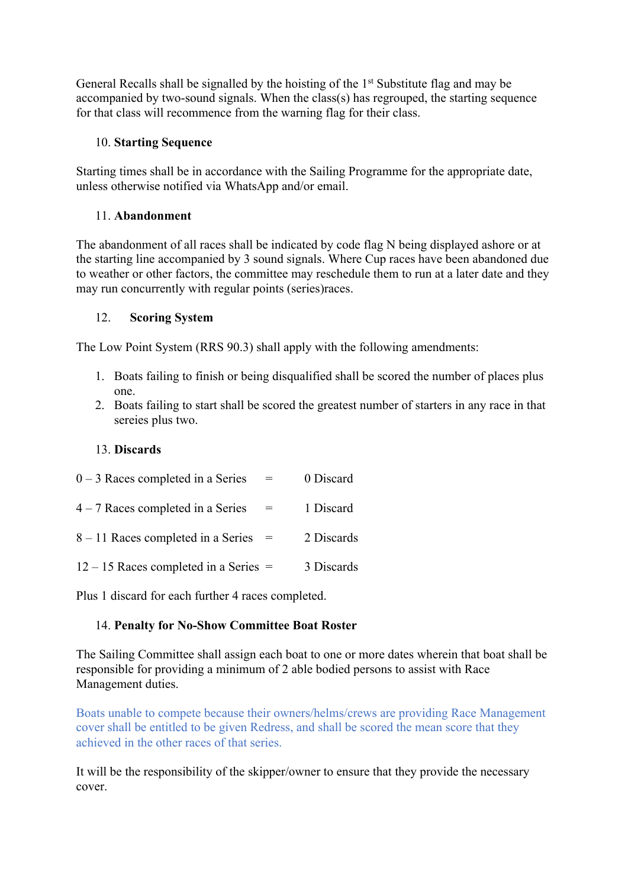General Recalls shall be signalled by the hoisting of the 1<sup>st</sup> Substitute flag and may be accompanied by two-sound signals. When the class(s) has regrouped, the starting sequence for that class will recommence from the warning flag for their class.

#### 10. **Starting Sequence**

Starting times shall be in accordance with the Sailing Programme for the appropriate date, unless otherwise notified via WhatsApp and/or email.

### 11. **Abandonment**

The abandonment of all races shall be indicated by code flag N being displayed ashore or at the starting line accompanied by 3 sound signals. Where Cup races have been abandoned due to weather or other factors, the committee may reschedule them to run at a later date and they may run concurrently with regular points (series)races.

### 12. **Scoring System**

The Low Point System (RRS 90.3) shall apply with the following amendments:

- 1. Boats failing to finish or being disqualified shall be scored the number of places plus one.
- 2. Boats failing to start shall be scored the greatest number of starters in any race in that sereies plus two.

### 13. **Discards**

| $0 - 3$ Races completed in a Series     | $=$                               | 0 Discard  |
|-----------------------------------------|-----------------------------------|------------|
| $4 - 7$ Races completed in a Series     | $\hspace{1.6cm} = \hspace{1.6cm}$ | 1 Discard  |
| $8 - 11$ Races completed in a Series =  |                                   | 2 Discards |
| $12 - 15$ Races completed in a Series = |                                   | 3 Discards |

Plus 1 discard for each further 4 races completed.

# 14. **Penalty for No-Show Committee Boat Roster**

The Sailing Committee shall assign each boat to one or more dates wherein that boat shall be responsible for providing a minimum of 2 able bodied persons to assist with Race Management duties.

Boats unable to compete because their owners/helms/crews are providing Race Management cover shall be entitled to be given Redress, and shall be scored the mean score that they achieved in the other races of that series.

It will be the responsibility of the skipper/owner to ensure that they provide the necessary cover.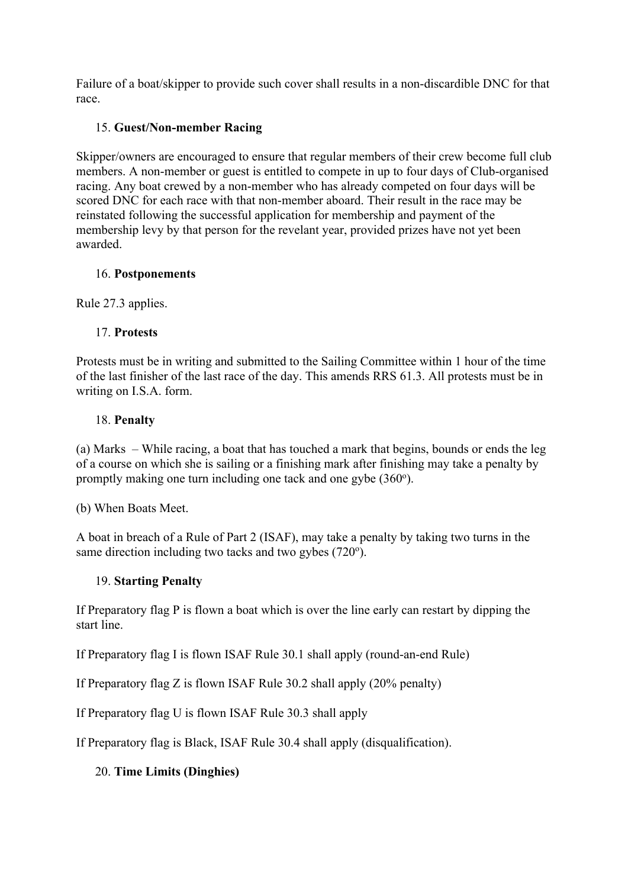Failure of a boat/skipper to provide such cover shall results in a non-discardible DNC for that race.

#### 15. **Guest/Non-member Racing**

Skipper/owners are encouraged to ensure that regular members of their crew become full club members. A non-member or guest is entitled to compete in up to four days of Club-organised racing. Any boat crewed by a non-member who has already competed on four days will be scored DNC for each race with that non-member aboard. Their result in the race may be reinstated following the successful application for membership and payment of the membership levy by that person for the revelant year, provided prizes have not yet been awarded.

### 16. **Postponements**

Rule 27.3 applies.

# 17. **Protests**

Protests must be in writing and submitted to the Sailing Committee within 1 hour of the time of the last finisher of the last race of the day. This amends RRS 61.3. All protests must be in writing on I.S.A. form.

### 18. **Penalty**

(a) Marks – While racing, a boat that has touched a mark that begins, bounds or ends the leg of a course on which she is sailing or a finishing mark after finishing may take a penalty by promptly making one turn including one tack and one gybe  $(360^{\circ})$ .

(b) When Boats Meet.

A boat in breach of a Rule of Part 2 (ISAF), may take a penalty by taking two turns in the same direction including two tacks and two gybes (720°).

# 19. **Starting Penalty**

If Preparatory flag P is flown a boat which is over the line early can restart by dipping the start line.

If Preparatory flag I is flown ISAF Rule 30.1 shall apply (round-an-end Rule)

If Preparatory flag Z is flown ISAF Rule 30.2 shall apply (20% penalty)

If Preparatory flag U is flown ISAF Rule 30.3 shall apply

If Preparatory flag is Black, ISAF Rule 30.4 shall apply (disqualification).

# 20. **Time Limits (Dinghies)**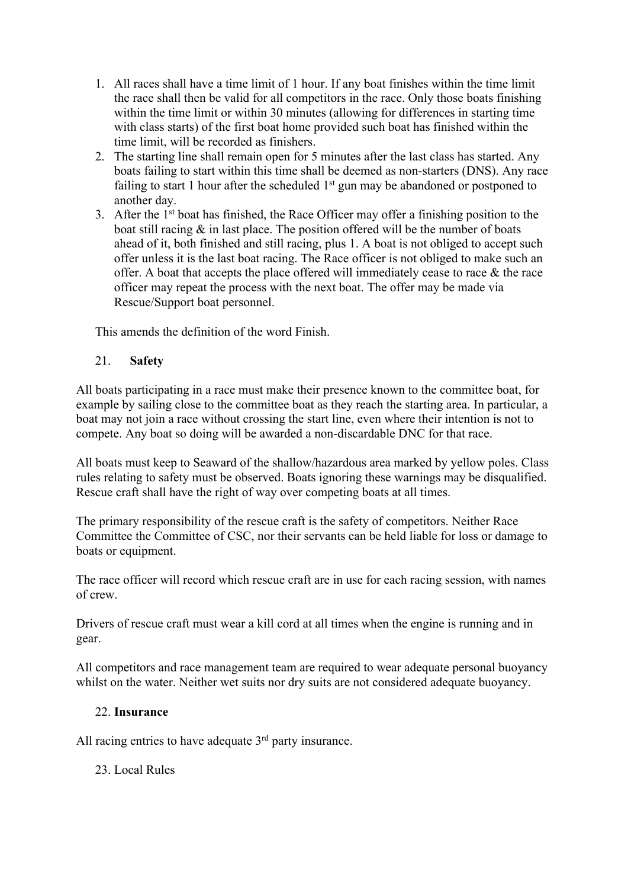- 1. All races shall have a time limit of 1 hour. If any boat finishes within the time limit the race shall then be valid for all competitors in the race. Only those boats finishing within the time limit or within 30 minutes (allowing for differences in starting time with class starts) of the first boat home provided such boat has finished within the time limit, will be recorded as finishers.
- 2. The starting line shall remain open for 5 minutes after the last class has started. Any boats failing to start within this time shall be deemed as non-starters (DNS). Any race failing to start 1 hour after the scheduled  $1<sup>st</sup>$  gun may be abandoned or postponed to another day.
- 3. After the  $1<sup>st</sup>$  boat has finished, the Race Officer may offer a finishing position to the boat still racing  $\&$  in last place. The position offered will be the number of boats ahead of it, both finished and still racing, plus 1. A boat is not obliged to accept such offer unless it is the last boat racing. The Race officer is not obliged to make such an offer. A boat that accepts the place offered will immediately cease to race & the race officer may repeat the process with the next boat. The offer may be made via Rescue/Support boat personnel.

This amends the definition of the word Finish.

#### 21. **Safety**

All boats participating in a race must make their presence known to the committee boat, for example by sailing close to the committee boat as they reach the starting area. In particular, a boat may not join a race without crossing the start line, even where their intention is not to compete. Any boat so doing will be awarded a non-discardable DNC for that race.

All boats must keep to Seaward of the shallow/hazardous area marked by yellow poles. Class rules relating to safety must be observed. Boats ignoring these warnings may be disqualified. Rescue craft shall have the right of way over competing boats at all times.

The primary responsibility of the rescue craft is the safety of competitors. Neither Race Committee the Committee of CSC, nor their servants can be held liable for loss or damage to boats or equipment.

The race officer will record which rescue craft are in use for each racing session, with names of crew.

Drivers of rescue craft must wear a kill cord at all times when the engine is running and in gear.

All competitors and race management team are required to wear adequate personal buoyancy whilst on the water. Neither wet suits nor dry suits are not considered adequate buoyancy.

#### 22. **Insurance**

All racing entries to have adequate  $3<sup>rd</sup>$  party insurance.

23. Local Rules